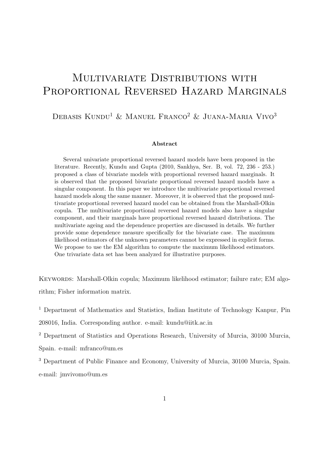# MULTIVARIATE DISTRIBUTIONS WITH PROPORTIONAL REVERSED HAZARD MARGINALS

## DEBASIS KUNDU<sup>1</sup> & MANUEL FRANCO<sup>2</sup> & JUANA-MARIA VIVO<sup>3</sup>

#### Abstract

Several univariate proportional reversed hazard models have been proposed in the literature. Recently, Kundu and Gupta (2010, Sankhya, Ser. B, vol. 72, 236 - 253.) proposed a class of bivariate models with proportional reversed hazard marginals. It is observed that the proposed bivariate proportional reversed hazard models have a singular component. In this paper we introduce the multivariate proportional reversed hazard models along the same manner. Moreover, it is observed that the proposed multivariate proportional reversed hazard model can be obtained from the Marshall-Olkin copula. The multivariate proportional reversed hazard models also have a singular component, and their marginals have proportional reversed hazard distributions. The multivariate ageing and the dependence properties are discussed in details. We further provide some dependence measure specifically for the bivariate case. The maximum likelihood estimators of the unknown parameters cannot be expressed in explicit forms. We propose to use the EM algorithm to compute the maximum likelihood estimators. One trivariate data set has been analyzed for illustrative purposes.

KEYWORDS: Marshall-Olkin copula; Maximum likelihood estimator; failure rate; EM algorithm; Fisher information matrix.

<sup>1</sup> Department of Mathematics and Statistics, Indian Institute of Technology Kanpur, Pin

208016, India. Corresponding author. e-mail: kundu@iitk.ac.in

<sup>2</sup> Department of Statistics and Operations Research, University of Murcia, 30100 Murcia, Spain. e-mail: mfranco@um.es

<sup>3</sup> Department of Public Finance and Economy, University of Murcia, 30100 Murcia, Spain. e-mail: jmvivomo@um.es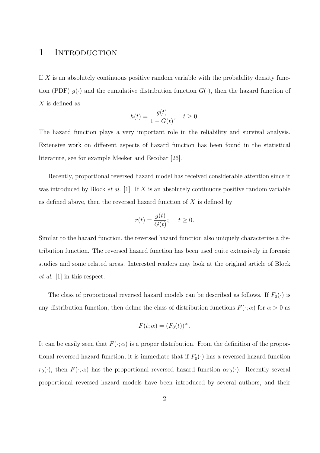### 1 INTRODUCTION

If X is an absolutely continuous positive random variable with the probability density function (PDF)  $g(\cdot)$  and the cumulative distribution function  $G(\cdot)$ , then the hazard function of X is defined as

$$
h(t) = \frac{g(t)}{1 - G(t)}; \quad t \ge 0.
$$

The hazard function plays a very important role in the reliability and survival analysis. Extensive work on different aspects of hazard function has been found in the statistical literature, see for example Meeker and Escobar [26].

Recently, proportional reversed hazard model has received considerable attention since it was introduced by Block *et al.* [1]. If  $X$  is an absolutely continuous positive random variable as defined above, then the reversed hazard function of  $X$  is defined by

$$
r(t) = \frac{g(t)}{G(t)}; \quad t \ge 0.
$$

Similar to the hazard function, the reversed hazard function also uniquely characterize a distribution function. The reversed hazard function has been used quite extensively in forensic studies and some related areas. Interested readers may look at the original article of Block et al. [1] in this respect.

The class of proportional reversed hazard models can be described as follows. If  $F_0(\cdot)$  is any distribution function, then define the class of distribution functions  $F(\cdot; \alpha)$  for  $\alpha > 0$  as

$$
F(t; \alpha) = (F_0(t))^{\alpha}.
$$

It can be easily seen that  $F(\cdot; \alpha)$  is a proper distribution. From the definition of the proportional reversed hazard function, it is immediate that if  $F_0(\cdot)$  has a reversed hazard function  $r_0(\cdot)$ , then  $F(\cdot; \alpha)$  has the proportional reversed hazard function  $\alpha r_0(\cdot)$ . Recently several proportional reversed hazard models have been introduced by several authors, and their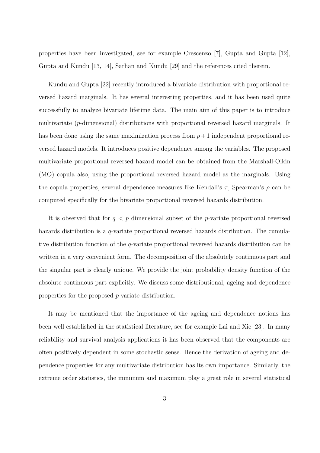properties have been investigated, see for example Crescenzo [7], Gupta and Gupta [12], Gupta and Kundu [13, 14], Sarhan and Kundu [29] and the references cited therein.

Kundu and Gupta [22] recently introduced a bivariate distribution with proportional reversed hazard marginals. It has several interesting properties, and it has been used quite successfully to analyze bivariate lifetime data. The main aim of this paper is to introduce multivariate (p-dimensional) distributions with proportional reversed hazard marginals. It has been done using the same maximization process from  $p+1$  independent proportional reversed hazard models. It introduces positive dependence among the variables. The proposed multivariate proportional reversed hazard model can be obtained from the Marshall-Olkin (MO) copula also, using the proportional reversed hazard model as the marginals. Using the copula properties, several dependence measures like Kendall's  $\tau$ , Spearman's  $\rho$  can be computed specifically for the bivariate proportional reversed hazards distribution.

It is observed that for  $q < p$  dimensional subset of the *p*-variate proportional reversed hazards distribution is a q-variate proportional reversed hazards distribution. The cumulative distribution function of the q-variate proportional reversed hazards distribution can be written in a very convenient form. The decomposition of the absolutely continuous part and the singular part is clearly unique. We provide the joint probability density function of the absolute continuous part explicitly. We discuss some distributional, ageing and dependence properties for the proposed p-variate distribution.

It may be mentioned that the importance of the ageing and dependence notions has been well established in the statistical literature, see for example Lai and Xie [23]. In many reliability and survival analysis applications it has been observed that the components are often positively dependent in some stochastic sense. Hence the derivation of ageing and dependence properties for any multivariate distribution has its own importance. Similarly, the extreme order statistics, the minimum and maximum play a great role in several statistical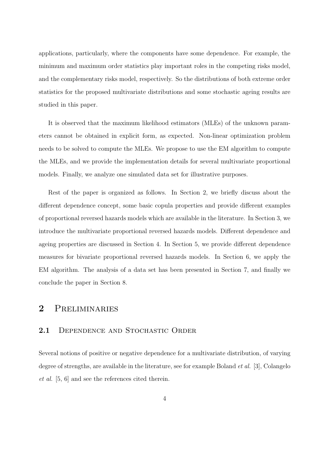applications, particularly, where the components have some dependence. For example, the minimum and maximum order statistics play important roles in the competing risks model, and the complementary risks model, respectively. So the distributions of both extreme order statistics for the proposed multivariate distributions and some stochastic ageing results are studied in this paper.

It is observed that the maximum likelihood estimators (MLEs) of the unknown parameters cannot be obtained in explicit form, as expected. Non-linear optimization problem needs to be solved to compute the MLEs. We propose to use the EM algorithm to compute the MLEs, and we provide the implementation details for several multivariate proportional models. Finally, we analyze one simulated data set for illustrative purposes.

Rest of the paper is organized as follows. In Section 2, we briefly discuss about the different dependence concept, some basic copula properties and provide different examples of proportional reversed hazards models which are available in the literature. In Section 3, we introduce the multivariate proportional reversed hazards models. Different dependence and ageing properties are discussed in Section 4. In Section 5, we provide different dependence measures for bivariate proportional reversed hazards models. In Section 6, we apply the EM algorithm. The analysis of a data set has been presented in Section 7, and finally we conclude the paper in Section 8.

### 2 Preliminaries

#### 2.1 DEPENDENCE AND STOCHASTIC ORDER

Several notions of positive or negative dependence for a multivariate distribution, of varying degree of strengths, are available in the literature, see for example Boland et al. [3], Colangelo et al. [5, 6] and see the references cited therein.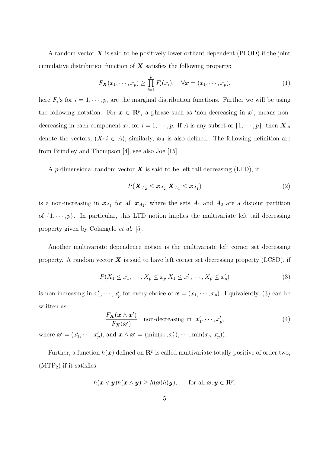A random vector  $\boldsymbol{X}$  is said to be positively lower orthant dependent (PLOD) if the joint cumulative distribution function of  $X$  satisfies the following property;

$$
F_{\mathbf{X}}(x_1,\dots,x_p) \geq \prod_{i=1}^p F_i(x_i), \quad \forall \mathbf{x} = (x_1,\dots,x_p), \tag{1}
$$

here  $F_i$ 's for  $i = 1, \dots, p$ , are the marginal distribution functions. Further we will be using the following notation. For  $x \in \mathbb{R}^p$ , a phrase such as 'non-decreasing in  $x$ ', means nondecreasing in each component  $x_i$ , for  $i = 1, \dots, p$ . If A is any subset of  $\{1, \dots, p\}$ , then  $\boldsymbol{X}_A$ denote the vectors,  $(X_i | i \in A)$ , similarly,  $x_A$  is also defined. The following definition are from Brindley and Thompson [4], see also Joe [15].

A p-dimensional random vector  $\boldsymbol{X}$  is said to be left tail decreasing (LTD), if

$$
P(\boldsymbol{X}_{A_2} \leq \boldsymbol{x}_{A_2} | \boldsymbol{X}_{A_1} \leq \boldsymbol{x}_{A_1})
$$
\n<sup>(2)</sup>

is a non-increasing in  $x_{A_1}$  for all  $x_{A_2}$ , where the sets  $A_1$  and  $A_2$  are a disjoint partition of  $\{1, \dots, p\}$ . In particular, this LTD notion implies the multivariate left tail decreasing property given by Colangelo et al. [5].

Another multivariate dependence notion is the multivariate left corner set decreasing property. A random vector  $\boldsymbol{X}$  is said to have left corner set decreasing property (LCSD), if

$$
P(X_1 \le x_1, \cdots, X_p \le x_p | X_1 \le x'_1, \cdots, X_p \le x'_p)
$$
\n(3)

is non-increasing in  $x'_1, \dots, x'_p$  for every choice of  $\boldsymbol{x} = (x_1, \dots, x_p)$ . Equivalently, (3) can be written as

$$
\frac{F_{\mathbf{X}}(\mathbf{x} \wedge \mathbf{x}')}{F_{\mathbf{X}}(\mathbf{x}')} \quad \text{non-decreasing in } x'_1, \cdots, x'_p,
$$
\n(4)

where  $\mathbf{x}' = (x'_1, \dots, x'_p)$ , and  $\mathbf{x} \wedge \mathbf{x}' = (\min(x_1, x'_1), \dots, \min(x_p, x'_p))$ .

Further, a function  $h(x)$  defined on  $\mathbb{R}^p$  is called multivariate totally positive of order two,  $(MTP<sub>2</sub>)$  if it satisfies

$$
h(\boldsymbol{x} \vee \boldsymbol{y})h(\boldsymbol{x} \wedge \boldsymbol{y}) \ge h(\boldsymbol{x})h(\boldsymbol{y}), \quad \text{ for all } \boldsymbol{x}, \boldsymbol{y} \in \mathbf{R}^p.
$$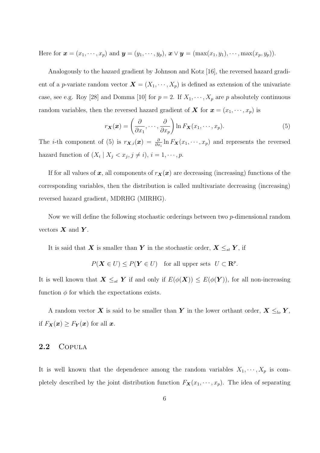Here for  $\mathbf{x} = (x_1, \dots, x_p)$  and  $\mathbf{y} = (y_1, \dots, y_p)$ ,  $\mathbf{x} \vee \mathbf{y} = (\max(x_1, y_1), \dots, \max(x_p, y_p))$ .

Analogously to the hazard gradient by Johnson and Kotz [16], the reversed hazard gradient of a p-variate random vector  $\mathbf{X} = (X_1, \dots, X_p)$  is defined as extension of the univariate case, see e.g. Roy [28] and Domma [10] for  $p = 2$ . If  $X_1, \dots, X_p$  are p absolutely continuous random variables, then the reversed hazard gradient of X for  $\mathbf{x} = (x_1, \dots, x_p)$  is

$$
r_{\mathbf{X}}(\mathbf{x}) = \left(\frac{\partial}{\partial x_1}, \cdots, \frac{\partial}{\partial x_p}\right) \ln F_{\mathbf{X}}(x_1, \cdots, x_p).
$$
 (5)

The *i*-th component of (5) is  $r_{\mathbf{X},i}(\mathbf{x}) = \frac{\partial}{\partial x_i} \ln F_{\mathbf{X}}(x_1,\dots,x_p)$  and represents the reversed hazard function of  $(X_i | X_j < x_j, j \neq i)$ ,  $i = 1, \dots, p$ .

If for all values of x, all components of  $r_X(x)$  are decreasing (increasing) functions of the corresponding variables, then the distribution is called multivariate decreasing (increasing) reversed hazard gradient, MDRHG (MIRHG).

Now we will define the following stochastic orderings between two p-dimensional random vectors  $\boldsymbol{X}$  and  $\boldsymbol{Y}$ .

It is said that X is smaller than Y in the stochastic order,  $X \leq_{st} Y$ , if

 $P(\mathbf{X} \in U) \leq P(\mathbf{Y} \in U)$  for all upper sets  $U \subset \mathbf{R}^p$ .

It is well known that  $\mathbf{X} \leq_{st} \mathbf{Y}$  if and only if  $E(\phi(\mathbf{X})) \leq E(\phi(\mathbf{Y}))$ , for all non-increasing function  $\phi$  for which the expectations exists.

A random vector X is said to be smaller than Y in the lower orthant order,  $X \leq_{lo} Y$ , if  $F_{\mathbf{X}}(\mathbf{x}) \geq F_{\mathbf{Y}}(\mathbf{x})$  for all  $\mathbf{x}$ .

#### 2.2 Copula

It is well known that the dependence among the random variables  $X_1, \dots, X_p$  is completely described by the joint distribution function  $F_{\mathbf{X}}(x_1, \dots, x_p)$ . The idea of separating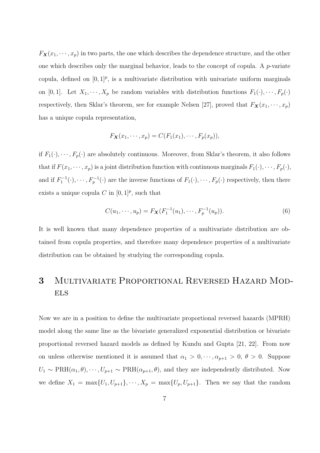$F_{\mathbf{X}}(x_1, \dots, x_p)$  in two parts, the one which describes the dependence structure, and the other one which describes only the marginal behavior, leads to the concept of copula. A p-variate copula, defined on  $[0,1]^p$ , is a multivariate distribution with univariate uniform marginals on [0, 1]. Let  $X_1, \dots, X_p$  be random variables with distribution functions  $F_1(\cdot), \dots, F_p(\cdot)$ respectively, then Sklar's theorem, see for example Nelsen [27], proved that  $F_X(x_1, \dots, x_p)$ has a unique copula representation,

$$
F_{\mathbf{X}}(x_1,\cdots,x_p)=C(F_1(x_1),\cdots,F_p(x_p)),
$$

if  $F_1(\cdot), \dots, F_p(\cdot)$  are absolutely continuous. Moreover, from Sklar's theorem, it also follows that if  $F(x_1, \dots, x_p)$  is a joint distribution function with continuous marginals  $F_1(\cdot), \dots, F_p(\cdot)$ , and if  $F_1^{-1}(\cdot), \dots, F_p^{-1}(\cdot)$  are the inverse functions of  $F_1(\cdot), \dots, F_p(\cdot)$  respectively, then there exists a unique copula C in  $[0,1]^p$ , such that

$$
C(u_1, \dots, u_p) = F_{\mathbf{X}}(F_1^{-1}(u_1), \dots, F_p^{-1}(u_p)).
$$
\n(6)

It is well known that many dependence properties of a multivariate distribution are obtained from copula properties, and therefore many dependence properties of a multivariate distribution can be obtained by studying the corresponding copula.

# 3 Multivariate Proportional Reversed Hazard Mod-**ELS**

Now we are in a position to define the multivariate proportional reversed hazards (MPRH) model along the same line as the bivariate generalized exponential distribution or bivariate proportional reversed hazard models as defined by Kundu and Gupta [21, 22]. From now on unless otherwise mentioned it is assumed that  $\alpha_1 > 0, \dots, \alpha_{p+1} > 0, \theta > 0$ . Suppose  $U_1 \sim \text{PRH}(\alpha_1, \theta), \cdots, U_{p+1} \sim \text{PRH}(\alpha_{p+1}, \theta)$ , and they are independently distributed. Now we define  $X_1 = \max\{U_1, U_{p+1}\}, \dots, X_p = \max\{U_p, U_{p+1}\}.$  Then we say that the random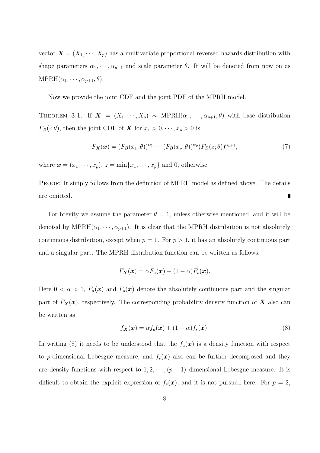vector  $\mathbf{X} = (X_1, \dots, X_p)$  has a multivariate proportional reversed hazards distribution with shape parameters  $\alpha_1, \dots, \alpha_{p+1}$  and scale parameter  $\theta$ . It will be denoted from now on as  $MPRH(\alpha_1, \cdots, \alpha_{p+1}, \theta).$ 

Now we provide the joint CDF and the joint PDF of the MPRH model.

THEOREM 3.1: If  $\mathbf{X} = (X_1, \dots, X_p) \sim \text{MPRH}(\alpha_1, \dots, \alpha_{p+1}, \theta)$  with base distribution  $F_B(\cdot;\theta)$ , then the joint CDF of **X** for  $x_1 > 0, \dots, x_p > 0$  is

$$
F_{\mathbf{X}}(\mathbf{x}) = (F_B(x_1; \theta))^{\alpha_1} \cdots (F_B(x_p; \theta))^{\alpha_p} (F_B(z; \theta))^{\alpha_{p+1}},
$$
\n(7)

where  $\mathbf{x} = (x_1, \dots, x_p), z = \min\{x_1, \dots, x_p\}$  and 0, otherwise.

PROOF: It simply follows from the definition of MPRH model as defined above. The details are omitted.

For brevity we assume the parameter  $\theta = 1$ , unless otherwise mentioned, and it will be denoted by  $MPRH(\alpha_1, \dots, \alpha_{p+1})$ . It is clear that the MPRH distribution is not absolutely continuous distribution, except when  $p = 1$ . For  $p > 1$ , it has an absolutely continuous part and a singular part. The MPRH distribution function can be written as follows;

$$
F_{\mathbf{X}}(\mathbf{x}) = \alpha F_a(\mathbf{x}) + (1 - \alpha) F_s(\mathbf{x}).
$$

Here  $0 < \alpha < 1$ ,  $F_a(x)$  and  $F_s(x)$  denote the absolutely continuous part and the singular part of  $F_X(x)$ , respectively. The corresponding probability density function of X also can be written as

$$
f_{\mathbf{X}}(\mathbf{x}) = \alpha f_a(\mathbf{x}) + (1 - \alpha) f_s(\mathbf{x}). \tag{8}
$$

In writing (8) it needs to be understood that the  $f_a(\mathbf{x})$  is a density function with respect to p-dimensional Lebesgue measure, and  $f_s(x)$  also can be further decomposed and they are density functions with respect to  $1, 2, \dots, (p-1)$  dimensional Lebesgue measure. It is difficult to obtain the explicit expression of  $f_s(\mathbf{x})$ , and it is not pursued here. For  $p = 2$ ,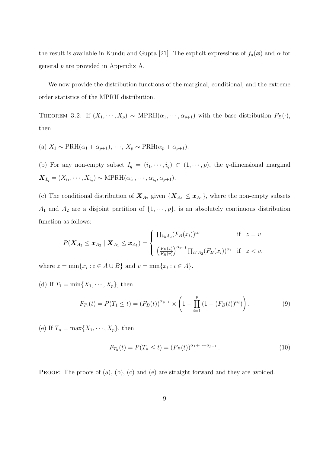the result is available in Kundu and Gupta [21]. The explicit expressions of  $f_a(\mathbf{x})$  and  $\alpha$  for general p are provided in Appendix A.

We now provide the distribution functions of the marginal, conditional, and the extreme order statistics of the MPRH distribution.

THEOREM 3.2: If  $(X_1, \dots, X_p) \sim \text{MPRH}(\alpha_1, \dots, \alpha_{p+1})$  with the base distribution  $F_B(\cdot)$ , then

(a)  $X_1 \sim \text{PRH}(\alpha_1 + \alpha_{p+1}), \cdots, X_p \sim \text{PRH}(\alpha_p + \alpha_{p+1}).$ 

(b) For any non-empty subset  $I_q = (i_1, \dots, i_q) \subset (1, \dots, p)$ , the q-dimensional marginal  $\boldsymbol{X}_{I_q} = (X_{i_1}, \cdots, X_{i_q}) \sim \text{MPRH}(\alpha_{i_1}, \cdots, \alpha_{i_q}, \alpha_{p+1}).$ 

(c) The conditional distribution of  $\mathbf{X}_{A_2}$  given  $\{\mathbf{X}_{A_1} \leq \mathbf{x}_{A_1}\}\,$ , where the non-empty subsets  $A_1$  and  $A_2$  are a disjoint partition of  $\{1, \dots, p\}$ , is an absolutely continuous distribution function as follows:

$$
P(\mathbf{X}_{A_2} \leq \mathbf{x}_{A_2} | \mathbf{X}_{A_1} \leq \mathbf{x}_{A_1}) = \begin{cases} \prod_{i \in A_2} (F_B(x_i))^{\alpha_i} & \text{if } z = v \\ \left(\frac{F_B(z)}{F_B(v)}\right)^{\alpha_{p+1}} \prod_{i \in A_2} (F_B(x_i))^{\alpha_i} & \text{if } z < v, \end{cases}
$$

where  $z = \min\{x_i : i \in A \cup B\}$  and  $v = \min\{x_i : i \in A\}$ .

(d) If  $T_1 = \min\{X_1, \cdots, X_p\}$ , then

$$
F_{T_1}(t) = P(T_1 \le t) = (F_B(t))^{\alpha_{p+1}} \times \left(1 - \prod_{i=1}^p (1 - (F_B(t))^{\alpha_i})\right). \tag{9}
$$

(e) If  $T_n = \max\{X_1, \cdots, X_p\}$ , then

$$
F_{T_n}(t) = P(T_n \le t) = (F_B(t))^{\alpha_1 + \dots + \alpha_{p+1}}.
$$
\n(10)

PROOF: The proofs of (a), (b), (c) and (e) are straight forward and they are avoided.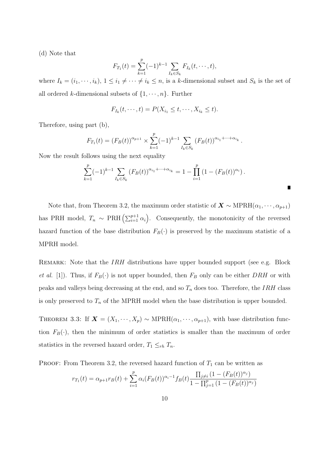(d) Note that

$$
F_{T_1}(t) = \sum_{k=1}^p (-1)^{k-1} \sum_{I_k \in S_k} F_{I_k}(t, \dots, t),
$$

where  $I_k = (i_1, \dots, i_k)$ ,  $1 \leq i_1 \neq \dots \neq i_k \leq n$ , is a k-dimensional subset and  $S_k$  is the set of all ordered k-dimensional subsets of  $\{1, \dots, n\}$ . Further

$$
F_{I_k}(t,\cdots,t)=P(X_{i_1}\leq t,\cdots,X_{i_k}\leq t).
$$

Therefore, using part (b),

$$
F_{T_1}(t) = (F_B(t))^{\alpha_{p+1}} \times \sum_{k=1}^p (-1)^{k-1} \sum_{I_k \in S_k} (F_B(t))^{\alpha_{i_1} + \dots + \alpha_{i_k}}.
$$

Now the result follows using the next equality

$$
\sum_{k=1}^p (-1)^{k-1} \sum_{I_k \in S_k} (F_B(t))^{\alpha_{i_1} + \dots + \alpha_{i_k}} = 1 - \prod_{i=1}^p (1 - (F_B(t))^{\alpha_i}).
$$

Note that, from Theorem 3.2, the maximum order statistic of  $\mathbf{X} \sim \text{MPRH}(\alpha_1, \dots, \alpha_{p+1})$ has PRH model,  $T_n \sim \text{PRH} \left( \sum_{i=1}^{p+1} \alpha_i \right)$ . Consequently, the monotonicity of the reversed hazard function of the base distribution  $F_B(\cdot)$  is preserved by the maximum statistic of a MPRH model.

REMARK: Note that the *IRH* distributions have upper bounded support (see e.g. Block *et al.* [1]). Thus, if  $F_B(\cdot)$  is not upper bounded, then  $F_B$  only can be either DRH or with peaks and valleys being decreasing at the end, and so  $T_n$  does too. Therefore, the IRH class is only preserved to  $T_n$  of the MPRH model when the base distribution is upper bounded.

THEOREM 3.3: If  $\mathbf{X} = (X_1, \dots, X_p) \sim \text{MPRH}(\alpha_1, \dots, \alpha_{p+1}),$  with base distribution function  $F_B(\cdot)$ , then the minimum of order statistics is smaller than the maximum of order statistics in the reversed hazard order,  $T_1 \leq_{rh} T_n$ .

**PROOF:** From Theorem 3.2, the reversed hazard function of  $T_1$  can be written as

$$
r_{T_1}(t) = \alpha_{p+1} r_B(t) + \sum_{i=1}^p \alpha_i (F_B(t))^{\alpha_i-1} f_B(t) \frac{\prod_{j \neq i} (1 - (F_B(t))^{\alpha_j})}{1 - \prod_{j=1}^p (1 - (F_B(t))^{\alpha_j})}
$$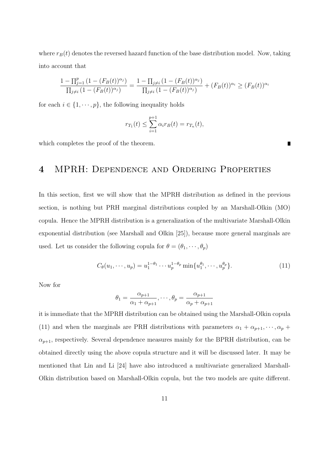where  $r_B(t)$  denotes the reversed hazard function of the base distribution model. Now, taking into account that

$$
\frac{1 - \prod_{j=1}^{p} (1 - (F_B(t))^{\alpha_j})}{\prod_{j \neq i} (1 - (F_B(t))^{\alpha_j})} = \frac{1 - \prod_{j \neq i} (1 - (F_B(t))^{\alpha_j})}{\prod_{j \neq i} (1 - (F_B(t))^{\alpha_j})} + (F_B(t))^{\alpha_i} \geq (F_B(t))^{\alpha_i}
$$

for each  $i \in \{1, \dots, p\}$ , the following inequality holds

$$
r_{T_1}(t) \le \sum_{i=1}^{p+1} \alpha_i r_B(t) = r_{T_n}(t),
$$

which completes the proof of the theorem.

## 4 MPRH: Dependence and Ordering Properties

In this section, first we will show that the MPRH distribution as defined in the previous section, is nothing but PRH marginal distributions coupled by an Marshall-Olkin (MO) copula. Hence the MPRH distribution is a generalization of the multivariate Marshall-Olkin exponential distribution (see Marshall and Olkin [25]), because more general marginals are used. Let us consider the following copula for  $\theta = (\theta_1, \dots, \theta_p)$ 

$$
C_{\theta}(u_1, \cdots, u_p) = u_1^{1-\theta_1} \cdots u_p^{1-\theta_p} \min \{ u_1^{\theta_1}, \cdots, u_p^{\theta_p} \}.
$$
 (11)

Now for

$$
\theta_1 = \frac{\alpha_{p+1}}{\alpha_1 + \alpha_{p+1}}, \dots, \theta_p = \frac{\alpha_{p+1}}{\alpha_p + \alpha_{p+1}}
$$

it is immediate that the MPRH distribution can be obtained using the Marshall-Olkin copula (11) and when the marginals are PRH distributions with parameters  $\alpha_1 + \alpha_{p+1}, \dots, \alpha_p +$  $\alpha_{p+1}$ , respectively. Several dependence measures mainly for the BPRH distribution, can be obtained directly using the above copula structure and it will be discussed later. It may be mentioned that Lin and Li [24] have also introduced a multivariate generalized Marshall-Olkin distribution based on Marshall-Olkin copula, but the two models are quite different.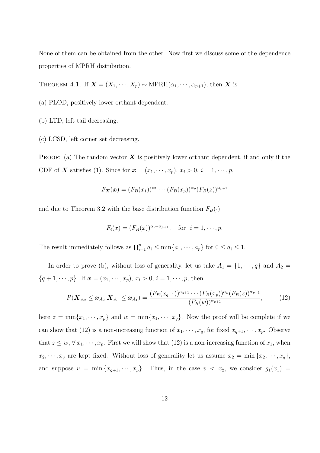None of them can be obtained from the other. Now first we discuss some of the dependence properties of MPRH distribution.

THEOREM 4.1: If  $\mathbf{X} = (X_1, \dots, X_p) \sim \text{MPRH}(\alpha_1, \dots, \alpha_{p+1}),$  then X is

(a) PLOD, positively lower orthant dependent.

(b) LTD, left tail decreasing.

(c) LCSD, left corner set decreasing.

PROOF: (a) The random vector  $\boldsymbol{X}$  is positively lower orthant dependent, if and only if the CDF of **X** satisfies (1). Since for  $\mathbf{x} = (x_1, \dots, x_p), x_i > 0, i = 1, \dots, p$ ,

$$
F_{\mathbf{X}}(\mathbf{x})=(F_B(x_1))^{\alpha_1}\cdots(F_B(x_p))^{\alpha_p}(F_B(z))^{\alpha_{p+1}}
$$

and due to Theorem 3.2 with the base distribution function  $F_B(\cdot)$ ,

$$
F_i(x) = (F_B(x))^{\alpha_i + \alpha_{p+1}}, \quad \text{for} \ \ i = 1, \cdots, p.
$$

The result immediately follows as  $\prod_{i=1}^{p} a_i \le \min\{a_1, \dots, a_p\}$  for  $0 \le a_i \le 1$ .

In order to prove (b), without loss of generality, let us take  $A_1 = \{1, \dots, q\}$  and  $A_2 =$  ${q + 1, \dots, p}.$  If  $\mathbf{x} = (x_1, \dots, x_p), x_i > 0, i = 1, \dots, p,$  then

$$
P(\mathbf{X}_{A_2} \leq \mathbf{x}_{A_2} | \mathbf{X}_{A_1} \leq \mathbf{x}_{A_1}) = \frac{(F_B(x_{q+1}))^{\alpha_{q+1}} \cdots (F_B(x_p))^{\alpha_p} (F_B(z))^{\alpha_{p+1}}}{(F_B(w))^{\alpha_{p+1}}},
$$
(12)

here  $z = \min\{x_1, \dots, x_p\}$  and  $w = \min\{x_1, \dots, x_q\}$ . Now the proof will be complete if we can show that (12) is a non-increasing function of  $x_1, \dots, x_q$ , for fixed  $x_{q+1}, \dots, x_p$ . Observe that  $z \leq w, \forall x_1, \dots, x_p$ . First we will show that (12) is a non-increasing function of  $x_1$ , when  $x_2, \dots, x_q$  are kept fixed. Without loss of generality let us assume  $x_2 = \min\{x_2, \dots, x_q\}$ , and suppose  $v = \min\{x_{q+1}, \dots, x_p\}$ . Thus, in the case  $v < x_2$ , we consider  $g_1(x_1) =$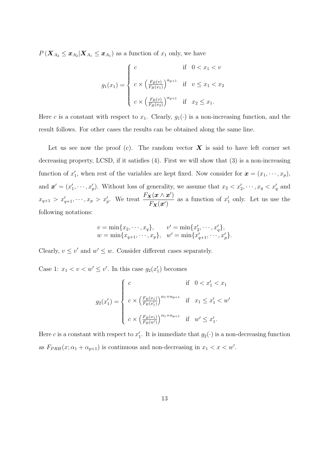$P\left(\boldsymbol{X}_{A_2} \leq \boldsymbol{x}_{A_2} | \boldsymbol{X}_{A_1} \leq \boldsymbol{x}_{A_1}\right)$  as a function of  $x_1$  only, we have

$$
g_1(x_1) = \begin{cases} c & \text{if } 0 < x_1 < v \\ c \times \left(\frac{F_B(v)}{F_B(x_1)}\right)^{\alpha_{p+1}} & \text{if } v \le x_1 < x_2 \\ c \times \left(\frac{F_B(v)}{F_B(x_2)}\right)^{\alpha_{p+1}} & \text{if } x_2 \le x_1. \end{cases}
$$

Here c is a constant with respect to  $x_1$ . Clearly,  $g_1(\cdot)$  is a non-increasing function, and the result follows. For other cases the results can be obtained along the same line.

Let us see now the proof (c). The random vector  $\boldsymbol{X}$  is said to have left corner set decreasing property, LCSD, if it satisfies (4). First we will show that (3) is a non-increasing function of  $x'_1$ , when rest of the variables are kept fixed. Now consider for  $\mathbf{x} = (x_1, \dots, x_p)$ , and  $\mathbf{x}' = (x'_1, \dots, x'_p)$ . Without loss of generality, we assume that  $x_2 < x'_2, \dots, x_q < x'_q$  and  $x_{q+1} > x'_{q+1}, \cdots, x_p > x'_p$ . We treat  $\frac{F_{\mathbf{X}}(\mathbf{x} \wedge \mathbf{x}')}{F_{\mathbf{x}^{-1}}(\mathbf{x}')}$  $F_{\boldsymbol{X}}(\boldsymbol{x}')$ as a function of  $x'_1$  only. Let us use the following notations:

$$
v = \min\{x_2, \cdots, x_q\}, \qquad v' = \min\{x'_2, \cdots, x'_q\},
$$
  

$$
w = \min\{x_{q+1}, \cdots, x_p\}, \quad w' = \min\{x'_{q+1}, \cdots, x'_p\}.
$$

Clearly,  $v \leq v'$  and  $w' \leq w$ . Consider different cases separately.

Case 1:  $x_1 < v < w' \le v'$ . In this case  $g_2(x_1')$  becomes

$$
g_2(x_1') = \begin{cases} c & \text{if } 0 < x_1' < x_1 \\ c \times \left(\frac{F_B(x_1)}{F_B(x_1')}\right)^{\alpha_1 + \alpha_{p+1}} & \text{if } x_1 \le x_1' < w' \\ c \times \left(\frac{F_B(x_1)}{F_B(w')}\right)^{\alpha_1 + \alpha_{p+1}} & \text{if } w' \le x_1'. \end{cases}
$$

Here c is a constant with respect to  $x'_1$ . It is immediate that  $g_2(\cdot)$  is a non-decreasing function as  $F_{PRH}(x; \alpha_1 + \alpha_{p+1})$  is continuous and non-decreasing in  $x_1 < x < w'$ .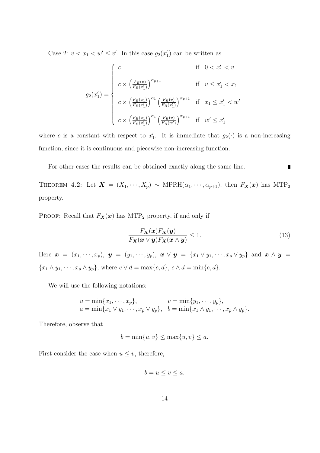Case 2:  $v < x_1 < w' \le v'$ . In this case  $g_2(x_1')$  can be written as

$$
g_2(x_1') = \begin{cases} c & \text{if } 0 < x_1' < v \\ c \times \left(\frac{F_B(v)}{F_B(x_1')}\right)^{\alpha_{p+1}} & \text{if } v \leq x_1' < x_1 \\ c \times \left(\frac{F_B(x_1)}{F_B(x_1')}\right)^{\alpha_1} \left(\frac{F_B(v)}{F_B(x_1')}\right)^{\alpha_{p+1}} & \text{if } x_1 \leq x_1' < w' \\ c \times \left(\frac{F_B(x_1)}{F_B(x_1')}\right)^{\alpha_1} \left(\frac{F_B(v)}{F_B(w')}\right)^{\alpha_{p+1}} & \text{if } w' \leq x_1' \end{cases}
$$

where c is a constant with respect to  $x'_1$ . It is immediate that  $g_2(\cdot)$  is a non-increasing function, since it is continuous and piecewise non-increasing function.

For other cases the results can be obtained exactly along the same line.  $\blacksquare$ 

THEOREM 4.2: Let  $\mathbf{X} = (X_1, \dots, X_p) \sim \text{MPRH}(\alpha_1, \dots, \alpha_{p+1}),$  then  $F_{\mathbf{X}}(\mathbf{x})$  has MTP<sub>2</sub> property.

PROOF: Recall that  $F_X(x)$  has MTP<sub>2</sub> property, if and only if

$$
\frac{F_{\mathbf{X}}(\mathbf{x})F_{\mathbf{X}}(\mathbf{y})}{F_{\mathbf{X}}(\mathbf{x} \vee \mathbf{y})F_{\mathbf{X}}(\mathbf{x} \wedge \mathbf{y})} \le 1.
$$
\n(13)

Here  $\mathbf{x} = (x_1, \dots, x_p), \mathbf{y} = (y_1, \dots, y_p), \mathbf{x} \vee \mathbf{y} = \{x_1 \vee y_1, \dots, x_p \vee y_p\}$  and  $\mathbf{x} \wedge \mathbf{y} =$  ${x_1 \wedge y_1, \dots, x_p \wedge y_p},$  where  $c \vee d = \max\{c, d\},$   $c \wedge d = \min\{c, d\}.$ 

We will use the following notations:

$$
u = \min\{x_1, \dots, x_p\}, \qquad v = \min\{y_1, \dots, y_p\},
$$
  
\n
$$
a = \min\{x_1 \vee y_1, \dots, x_p \vee y_p\}, \quad b = \min\{x_1 \wedge y_1, \dots, x_p \wedge y_p\}.
$$

Therefore, observe that

$$
b = \min\{u, v\} \le \max\{u, v\} \le a.
$$

First consider the case when  $u \leq v$ , therefore,

$$
b = u \le v \le a.
$$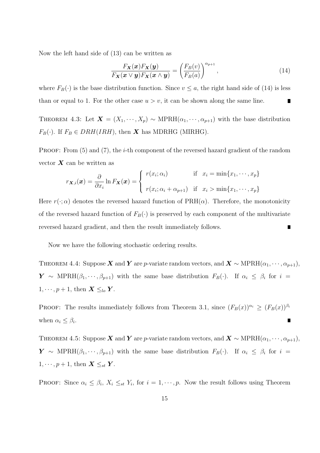Now the left hand side of (13) can be written as

$$
\frac{F_{\mathbf{X}}(\mathbf{x})F_{\mathbf{X}}(\mathbf{y})}{F_{\mathbf{X}}(\mathbf{x} \vee \mathbf{y})F_{\mathbf{X}}(\mathbf{x} \wedge \mathbf{y})} = \left(\frac{F_B(v)}{F_B(a)}\right)^{\alpha_{p+1}},
$$
\n(14)

where  $F_B(\cdot)$  is the base distribution function. Since  $v \leq a$ , the right hand side of (14) is less than or equal to 1. For the other case  $u > v$ , it can be shown along the same line.

THEOREM 4.3: Let  $\mathbf{X} = (X_1, \dots, X_p) \sim \text{MPRH}(\alpha_1, \dots, \alpha_{p+1})$  with the base distribution  $F_B(\cdot)$ . If  $F_B \in DRH(IRH)$ , then **X** has MDRHG (MIRHG).

PROOF: From (5) and (7), the *i*-th component of the reversed hazard gradient of the random vector  $\boldsymbol{X}$  can be written as

$$
r_{\mathbf{X},i}(\mathbf{x}) = \frac{\partial}{\partial x_i} \ln F_{\mathbf{X}}(\mathbf{x}) = \begin{cases} r(x_i; \alpha_i) & \text{if } x_i = \min\{x_1, \cdots, x_p\} \\ r(x_i; \alpha_i + \alpha_{p+1}) & \text{if } x_i > \min\{x_1, \cdots, x_p\} \end{cases}
$$

Here  $r(\cdot; \alpha)$  denotes the reversed hazard function of  $\text{PRH}(\alpha)$ . Therefore, the monotonicity of the reversed hazard function of  $F_B(\cdot)$  is preserved by each component of the multivariate reversed hazard gradient, and then the result immediately follows.  $\blacksquare$ 

Now we have the following stochastic ordering results.

THEOREM 4.4: Suppose X and Y are p-variate random vectors, and  $X \sim \text{MPRH}(\alpha_1, \dots, \alpha_{p+1}),$  $\boldsymbol{Y} \sim \text{MPRH}(\beta_1, \cdots, \beta_{p+1})$  with the same base distribution  $F_B(\cdot)$ . If  $\alpha_i \leq \beta_i$  for  $i =$  $1, \dots, p+1$ , then  $\boldsymbol{X} \leq_{lo} \boldsymbol{Y}$ .

PROOF: The results immediately follows from Theorem 3.1, since  $(F_B(x))^{\alpha_i} \geq (F_B(x))^{\beta_i}$ when  $\alpha_i \leq \beta_i$ . П

THEOREM 4.5: Suppose X and Y are p-variate random vectors, and  $X \sim \text{MPRH}(\alpha_1, \dots, \alpha_{p+1}),$  $\boldsymbol{Y} \sim \text{MPRH}(\beta_1, \cdots, \beta_{p+1})$  with the same base distribution  $F_B(\cdot)$ . If  $\alpha_i \leq \beta_i$  for  $i =$  $1, \cdots, p+1$ , then  $\boldsymbol{X} \leq_{st} \boldsymbol{Y}$ .

PROOF: Since  $\alpha_i \leq \beta_i$ ,  $X_i \leq_{st} Y_i$ , for  $i = 1, \dots, p$ . Now the result follows using Theorem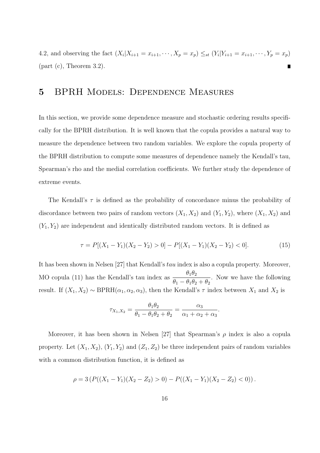4.2, and observing the fact  $(X_i | X_{i+1} = x_{i+1}, \dots, X_p = x_p) \leq_{st} (Y_i | Y_{i+1} = x_{i+1}, \dots, Y_p = x_p)$  $(\text{part } (c), \text{ Theorem } 3.2).$ 

## 5 BPRH Models: Dependence Measures

In this section, we provide some dependence measure and stochastic ordering results specifically for the BPRH distribution. It is well known that the copula provides a natural way to measure the dependence between two random variables. We explore the copula property of the BPRH distribution to compute some measures of dependence namely the Kendall's tau, Spearman's rho and the medial correlation coefficients. We further study the dependence of extreme events.

The Kendall's  $\tau$  is defined as the probability of concordance minus the probability of discordance between two pairs of random vectors  $(X_1, X_2)$  and  $(Y_1, Y_2)$ , where  $(X_1, X_2)$  and  $(Y_1, Y_2)$  are independent and identically distributed random vectors. It is defined as

$$
\tau = P[(X_1 - Y_1)(X_2 - Y_2) > 0] - P[(X_1 - Y_1)(X_2 - Y_2) < 0].
$$
\n(15)

.

It has been shown in Nelsen [27] that Kendall's tau index is also a copula property. Moreover, MO copula (11) has the Kendall's tau index as  $\frac{\theta_1 \theta_2}{\theta_1 - \theta_2 \theta_1}$  $\theta_1 - \theta_1 \theta_2 + \theta_2$ . Now we have the following result. If  $(X_1, X_2) \sim \text{BPRH}(\alpha_1, \alpha_2, \alpha_3)$ , then the Kendall's  $\tau$  index between  $X_1$  and  $X_2$  is

$$
\tau_{X_1,X_2} = \frac{\theta_1 \theta_2}{\theta_1 - \theta_1 \theta_2 + \theta_2} = \frac{\alpha_3}{\alpha_1 + \alpha_2 + \alpha_3}
$$

Moreover, it has been shown in Nelsen [27] that Spearman's  $\rho$  index is also a copula property. Let  $(X_1, X_2)$ ,  $(Y_1, Y_2)$  and  $(Z_1, Z_2)$  be three independent pairs of random variables with a common distribution function, it is defined as

$$
\rho = 3\left(P((X_1 - Y_1)(X_2 - Z_2) > 0) - P((X_1 - Y_1)(X_2 - Z_2) < 0)\right).
$$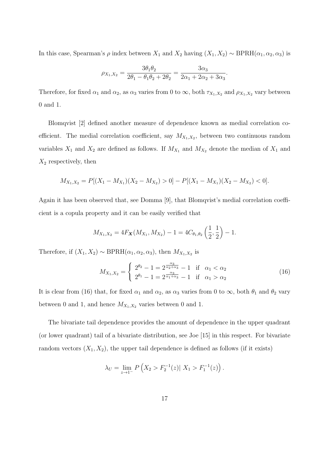In this case, Spearman's  $\rho$  index between  $X_1$  and  $X_2$  having  $(X_1, X_2) \sim \text{BPRH}(\alpha_1, \alpha_2, \alpha_3)$  is

$$
\rho_{X_1,X_2} = \frac{3\theta_1\theta_2}{2\theta_1 - \theta_1\theta_2 + 2\theta_2} = \frac{3\alpha_3}{2\alpha_1 + 2\alpha_2 + 3\alpha_3}.
$$

Therefore, for fixed  $\alpha_1$  and  $\alpha_2$ , as  $\alpha_3$  varies from 0 to  $\infty$ , both  $\tau_{X_1,X_2}$  and  $\rho_{X_1,X_2}$  vary between 0 and 1.

Blomqvist [2] defined another measure of dependence known as medial correlation coefficient. The medial correlation coefficient, say  $M_{X_1,X_2}$ , between two continuous random variables  $X_1$  and  $X_2$  are defined as follows. If  $M_{X_1}$  and  $M_{X_2}$  denote the median of  $X_1$  and  $X_2$  respectively, then

$$
M_{X_1,X_2} = P[(X_1 - M_{X_1})(X_2 - M_{X_2}) > 0] - P[(X_1 - M_{X_1})(X_2 - M_{X_2}) < 0].
$$

Again it has been observed that, see Domma [9], that Blomqvist's medial correlation coefficient is a copula property and it can be easily verified that

$$
M_{X_1,X_2} = 4F_{\mathbf{X}}(M_{X_1},M_{X_2}) - 1 = 4C_{\theta_1,\theta_2}\left(\frac{1}{2},\frac{1}{2}\right) - 1.
$$

Therefore, if  $(X_1, X_2) \sim \text{BPRH}(\alpha_1, \alpha_2, \alpha_3)$ , then  $M_{X_1, X_2}$  is

$$
M_{X_1, X_2} = \begin{cases} 2^{\theta_2} - 1 = 2^{\frac{\alpha_3}{\alpha_2 + \alpha_3}} - 1 & \text{if } \alpha_1 < \alpha_2\\ 2^{\theta_1} - 1 = 2^{\frac{\alpha_3}{\alpha_1 + \alpha_3}} - 1 & \text{if } \alpha_1 > \alpha_2 \end{cases}
$$
(16)

It is clear from (16) that, for fixed  $\alpha_1$  and  $\alpha_2$ , as  $\alpha_3$  varies from 0 to  $\infty$ , both  $\theta_1$  and  $\theta_2$  vary between 0 and 1, and hence  $M_{X_1,X_2}$  varies between 0 and 1.

The bivariate tail dependence provides the amount of dependence in the upper quadrant (or lower quadrant) tail of a bivariate distribution, see Joe [15] in this respect. For bivariate random vectors  $(X_1, X_2)$ , the upper tail dependence is defined as follows (if it exists)

$$
\lambda_U = \lim_{z \to 1^-} P\left(X_2 > F_2^{-1}(z) | X_1 > F_1^{-1}(z)\right).
$$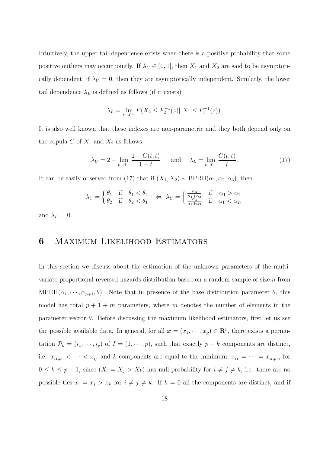Intuitively, the upper tail dependence exists when there is a positive probability that some positive outliers may occur jointly. If  $\lambda_U \in (0,1]$ , then  $X_1$  and  $X_2$  are said to be asymptotically dependent, if  $\lambda_U = 0$ , then they are asymptotically independent. Similarly, the lower tail dependence  $\lambda_L$  is defined as follows (if it exists)

$$
\lambda_L = \lim_{z \to 0^+} P(X_2 \le F_2^{-1}(z) | X_1 \le F_1^{-1}(z)).
$$

It is also well known that these indexes are non-parametric and they both depend only on the copula C of  $X_1$  and  $X_2$  as follows:

$$
\lambda_U = 2 - \lim_{t \to 1^-} \frac{1 - C(t, t)}{1 - t}
$$
 and  $\lambda_L = \lim_{t \to 0^+} \frac{C(t, t)}{t}$ . (17)

It can be easily observed from (17) that if  $(X_1, X_2) \sim \text{BPRH}(\alpha_1, \alpha_2, \alpha_3)$ , then

$$
\lambda_U = \begin{cases} \theta_1 & \text{if} \quad \theta_1 < \theta_2 \\ \theta_2 & \text{if} \quad \theta_2 < \theta_1 \end{cases} \quad \Leftrightarrow \quad \lambda_U = \begin{cases} \frac{\alpha_3}{\alpha_1 + \alpha_3} & \text{if} \quad \alpha_1 > \alpha_2 \\ \frac{\alpha_3}{\alpha_2 + \alpha_3} & \text{if} \quad \alpha_1 < \alpha_2, \end{cases}
$$

and  $\lambda_L = 0$ .

## 6 Maximum Likelihood Estimators

In this section we discuss about the estimation of the unknown parameters of the multivariate proportional reversed hazards distribution based on a random sample of size n from  $MPRH(\alpha_1, \dots, \alpha_{p+1}, \theta)$ . Note that in presence of the base distribution parameter  $\theta$ , this model has total  $p + 1 + m$  parameters, where m denotes the number of elements in the parameter vector  $\theta$ . Before discussing the maximum likelihood estimators, first let us see the possible available data. In general, for all  $\mathbf{x} = (x_1, \dots, x_p) \in \mathbb{R}^p$ , there exists a permutation  $\mathcal{P}_k = (i_1, \dots, i_p)$  of  $I = (1, \dots, p)$ , such that exactly  $p - k$  components are distinct, i.e.  $x_{i_{k+1}} < \cdots < x_{i_p}$  and k components are equal to the minimum,  $x_{i_1} = \cdots = x_{i_{k+1}}$ , for  $0 \leq k \leq p-1$ , since  $(X_i = X_j > X_k)$  has null probability for  $i \neq j \neq k$ , i.e. there are no possible ties  $x_i = x_j > x_k$  for  $i \neq j \neq k$ . If  $k = 0$  all the components are distinct, and if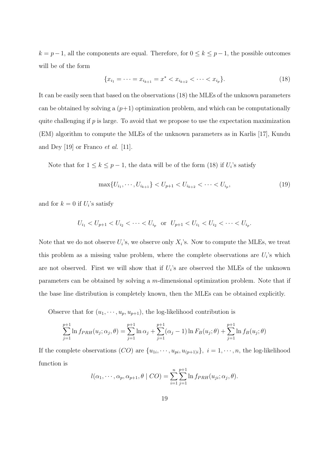$k = p-1$ , all the components are equal. Therefore, for  $0 \le k \le p-1$ , the possible outcomes will be of the form

$$
\{x_{i_1} = \dots = x_{i_{k+1}} = x^* < x_{i_{k+2}} < \dots < x_{i_p}\}.\tag{18}
$$

It can be easily seen that based on the observations (18) the MLEs of the unknown parameters can be obtained by solving a  $(p+1)$  optimization problem, and which can be computationally quite challenging if  $p$  is large. To avoid that we propose to use the expectation maximization (EM) algorithm to compute the MLEs of the unknown parameters as in Karlis [17], Kundu and Dey [19] or Franco et al. [11].

Note that for  $1 \leq k \leq p-1$ , the data will be of the form (18) if  $U_i$ 's satisfy

$$
\max\{U_{i_1}, \cdots, U_{i_{k+1}}\} < U_{p+1} < U_{i_{k+2}} < \cdots < U_{i_p},\tag{19}
$$

and for  $k = 0$  if  $U_i$ 's satisfy

$$
U_{i_1} < U_{p+1} < U_{i_2} < \cdots < U_{i_p} \quad \text{or} \quad U_{p+1} < U_{i_1} < U_{i_2} < \cdots < U_{i_p}.
$$

Note that we do not observe  $U_i$ 's, we observe only  $X_i$ 's. Now to compute the MLEs, we treat this problem as a missing value problem, where the complete observations are  $U_i$ 's which are not observed. First we will show that if  $U_i$ 's are observed the MLEs of the unknown parameters can be obtained by solving a m-dimensional optimization problem. Note that if the base line distribution is completely known, then the MLEs can be obtained explicitly.

Observe that for  $(u_1, \dots, u_p, u_{p+1})$ , the log-likelihood contribution is

$$
\sum_{j=1}^{p+1} \ln f_{PRH}(u_j; \alpha_j, \theta) = \sum_{j=1}^{p+1} \ln \alpha_j + \sum_{j=1}^{p+1} (\alpha_j - 1) \ln F_B(u_j; \theta) + \sum_{j=1}^{p+1} \ln f_B(u_j; \theta)
$$

If the complete observations  $(CO)$  are  $\{u_{1i}, \dots, u_{pi}, u_{(p+1)i}\}, i = 1, \dots, n$ , the log-likelihood function is

$$
l(\alpha_1,\cdots,\alpha_p,\alpha_{p+1},\theta \mid CO) = \sum_{i=1}^n \sum_{j=1}^{p+1} \ln f_{PRH}(u_{ji};\alpha_j,\theta).
$$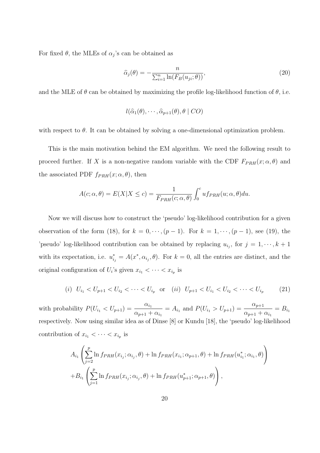For fixed  $\theta$ , the MLEs of  $\alpha_j$ 's can be obtained as

$$
\hat{\alpha}_j(\theta) = -\frac{n}{\sum_{i=1}^n \ln(F_B(u_{ji}; \theta))},\tag{20}
$$

and the MLE of  $\theta$  can be obtained by maximizing the profile log-likelihood function of  $\theta$ , i.e.

$$
l(\widehat{\alpha}_1(\theta),\cdots,\widehat{\alpha}_{p+1}(\theta),\theta \mid CO)
$$

with respect to  $\theta$ . It can be obtained by solving a one-dimensional optimization problem.

This is the main motivation behind the EM algorithm. We need the following result to proceed further. If X is a non-negative random variable with the CDF  $F_{PRH}(x; \alpha, \theta)$  and the associated PDF  $f_{PRH}(x; \alpha, \theta)$ , then

$$
A(c; \alpha, \theta) = E(X|X \le c) = \frac{1}{F_{PRH}(c; \alpha, \theta)} \int_0^c u f_{PRH}(u; \alpha, \theta) du.
$$

Now we will discuss how to construct the 'pseudo' log-likelihood contribution for a given observation of the form (18), for  $k = 0, \dots, (p-1)$ . For  $k = 1, \dots, (p-1)$ , see (19), the 'pseudo' log-likelihood contribution can be obtained by replacing  $u_{i_j}$ , for  $j = 1, \dots, k + 1$ with its expectation, i.e.  $u_{i_j}^* = A(x^*, \alpha_{i_j}, \theta)$ . For  $k = 0$ , all the entries are distinct, and the original configuration of  $U_i$ 's given  $x_{i_1} < \cdots < x_{i_p}$  is

$$
(i) \ \ U_{i_1} < U_{p+1} < U_{i_2} < \cdots < U_{i_p} \ \ \text{or} \ \ (ii) \ \ U_{p+1} < U_{i_1} < U_{i_2} < \cdots < U_{i_p} \tag{21}
$$

with probability  $P(U_{i_1} < U_{p+1}) = \frac{\alpha_{i_1}}{2\alpha_{i_1}}$  $\alpha_{p+1} + \alpha_{i_1}$  $= A_{i_1}$  and  $P(U_{i_1} > U_{p+1}) = \frac{\alpha_{p+1}}{n}$  $\alpha_{p+1} + \alpha_{i_1}$  $= B_{i_1}$ respectively. Now using similar idea as of Dinse [8] or Kundu [18], the 'pseudo' log-likelihood contribution of  $x_{i_1} < \cdots < x_{i_p}$  is

$$
A_{i_1} \left( \sum_{j=2}^p \ln f_{PRH}(x_{i_j}; \alpha_{i_j}, \theta) + \ln f_{PRH}(x_{i_1}; \alpha_{p+1}, \theta) + \ln f_{PRH}(u_{i_1}^*; \alpha_{i_1}, \theta) \right) + B_{i_1} \left( \sum_{j=1}^p \ln f_{PRH}(x_{i_j}; \alpha_{i_j}, \theta) + \ln f_{PRH}(u_{p+1}^*; \alpha_{p+1}, \theta) \right),
$$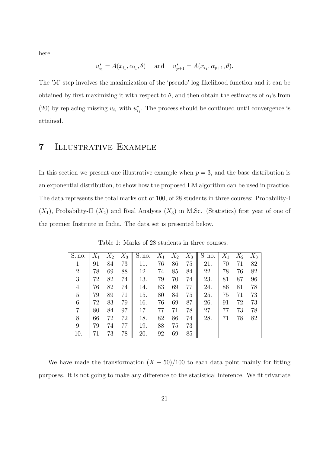here

$$
u_{i_1}^* = A(x_{i_1}, \alpha_{i_1}, \theta)
$$
 and  $u_{p+1}^* = A(x_{i_1}, \alpha_{p+1}, \theta)$ .

The 'M'-step involves the maximization of the 'pseudo' log-likelihood function and it can be obtained by first maximizing it with respect to  $\theta$ , and then obtain the estimates of  $\alpha_i$ 's from (20) by replacing missing  $u_{i_j}$  with  $u_{i_j}^*$ . The process should be continued until convergence is attained.

## 7 Illustrative Example

In this section we present one illustrative example when  $p = 3$ , and the base distribution is an exponential distribution, to show how the proposed EM algorithm can be used in practice. The data represents the total marks out of 100, of 28 students in three courses: Probability-I  $(X_1)$ , Probability-II  $(X_2)$  and Real Analysis  $(X_3)$  in M.Sc. (Statistics) first year of one of the premier Institute in India. The data set is presented below.

| S. no. | $X_1$ | $X_2$ | $X_3$ | S. no. | $X_1$ | $X_2$ | $X_3$ | S. no. | $X_1$ | $X_2$ | $X_3$ |
|--------|-------|-------|-------|--------|-------|-------|-------|--------|-------|-------|-------|
| 1.     | 91    | 84    | 73    | 11.    | 76    | 86    | 75    | 21.    | 70    | 71    | 82    |
| 2.     | 78    | 69    | 88    | 12.    | 74    | 85    | 84    | 22.    | 78    | 76    | 82    |
| 3.     | 72    | 82    | 74    | 13.    | 79    | 70    | 74    | 23.    | 81    | 87    | 96    |
| 4.     | 76    | 82    | 74    | 14.    | 83    | 69    | 77    | 24.    | 86    | 81    | 78    |
| 5.     | 79    | 89    | 71    | 15.    | 80    | 84    | 75    | 25.    | 75    | 71    | 73    |
| 6.     | 72    | 83    | 79    | 16.    | 76    | 69    | 87    | 26.    | 91    | 72    | 73    |
| 7.     | 80    | 84    | 97    | 17.    | 77    | 71    | 78    | 27.    | 77    | 73    | 78    |
| 8.     | 66    | 72    | 72    | 18.    | 82    | 86    | 74    | 28.    | 71    | 78    | 82    |
| 9.     | 79    | 74    | 77    | 19.    | 88    | 75    | 73    |        |       |       |       |
| 10.    |       | 73    | 78    | 20.    | 92    | 69    | 85    |        |       |       |       |

Table 1: Marks of 28 students in three courses.

We have made the transformation  $(X - 50)/100$  to each data point mainly for fitting purposes. It is not going to make any difference to the statistical inference. We fit trivariate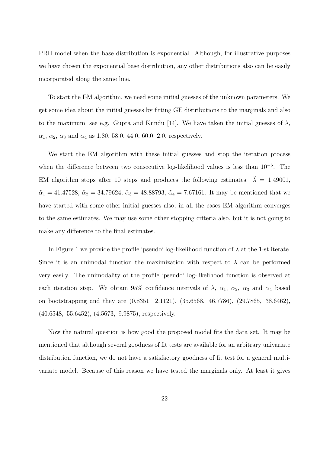PRH model when the base distribution is exponential. Although, for illustrative purposes we have chosen the exponential base distribution, any other distributions also can be easily incorporated along the same line.

To start the EM algorithm, we need some initial guesses of the unknown parameters. We get some idea about the initial guesses by fitting GE distributions to the marginals and also to the maximum, see e.g. Gupta and Kundu [14]. We have taken the initial guesses of  $\lambda$ ,  $\alpha_1, \alpha_2, \alpha_3$  and  $\alpha_4$  as 1.80, 58.0, 44.0, 60.0, 2.0, respectively.

We start the EM algorithm with these initial guesses and stop the iteration process when the difference between two consecutive log-likelihood values is less than 10<sup>−</sup><sup>6</sup> . The EM algorithm stops after 10 steps and produces the following estimates:  $\hat{\lambda} = 1.49001$ ,  $\hat{\alpha}_1 = 41.47528, \hat{\alpha}_2 = 34.79624, \hat{\alpha}_3 = 48.88793, \hat{\alpha}_4 = 7.67161.$  It may be mentioned that we have started with some other initial guesses also, in all the cases EM algorithm converges to the same estimates. We may use some other stopping criteria also, but it is not going to make any difference to the final estimates.

In Figure 1 we provide the profile 'pseudo' log-likelihood function of  $\lambda$  at the 1-st iterate. Since it is an unimodal function the maximization with respect to  $\lambda$  can be performed very easily. The unimodality of the profile 'pseudo' log-likelihood function is observed at each iteration step. We obtain 95% confidence intervals of  $\lambda$ ,  $\alpha_1$ ,  $\alpha_2$ ,  $\alpha_3$  and  $\alpha_4$  based on bootstrapping and they are (0.8351, 2.1121), (35.6568, 46.7786), (29.7865, 38.6462), (40.6548, 55.6452), (4.5673, 9.9875), respectively.

Now the natural question is how good the proposed model fits the data set. It may be mentioned that although several goodness of fit tests are available for an arbitrary univariate distribution function, we do not have a satisfactory goodness of fit test for a general multivariate model. Because of this reason we have tested the marginals only. At least it gives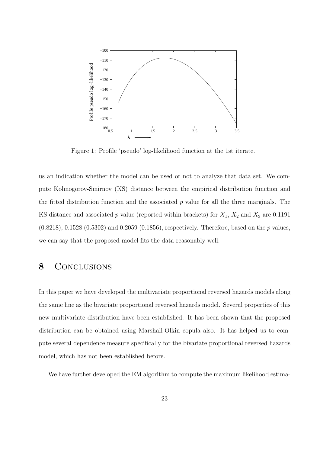

Figure 1: Profile 'pseudo' log-likelihood function at the 1st iterate.

us an indication whether the model can be used or not to analyze that data set. We compute Kolmogorov-Smirnov (KS) distance between the empirical distribution function and the fitted distribution function and the associated  $p$  value for all the three marginals. The KS distance and associated p value (reported within brackets) for  $X_1$ ,  $X_2$  and  $X_3$  are 0.1191  $(0.8218), 0.1528, (0.5302)$  and  $(0.2059, (0.1856),$  respectively. Therefore, based on the p values, we can say that the proposed model fits the data reasonably well.

## 8 CONCLUSIONS

In this paper we have developed the multivariate proportional reversed hazards models along the same line as the bivariate proportional reversed hazards model. Several properties of this new multivariate distribution have been established. It has been shown that the proposed distribution can be obtained using Marshall-Olkin copula also. It has helped us to compute several dependence measure specifically for the bivariate proportional reversed hazards model, which has not been established before.

We have further developed the EM algorithm to compute the maximum likelihood estima-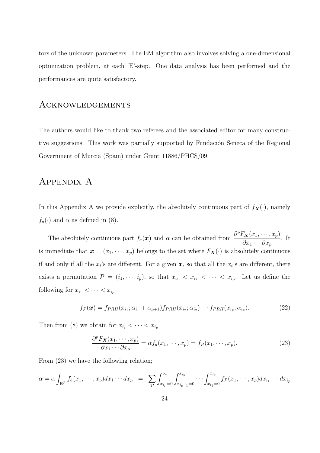tors of the unknown parameters. The EM algorithm also involves solving a one-dimensional optimization problem, at each 'E'-step. One data analysis has been performed and the performances are quite satisfactory.

### Acknowledgements

The authors would like to thank two referees and the associated editor for many constructive suggestions. This work was partially supported by Fundación Seneca of the Regional Government of Murcia (Spain) under Grant 11886/PHCS/09.

### Appendix A

In this Appendix A we provide explicitly, the absolutely continuous part of  $f_{\mathbf{X}}(\cdot)$ , namely  $f_a(\cdot)$  and  $\alpha$  as defined in (8).

The absolutely continuous part  $f_a(x)$  and  $\alpha$  can be obtained from  $\frac{\partial^p F_X(x_1, \dots, x_p)}{\partial x}$  $\partial x_1\cdots\partial x_p$ . It is immediate that  $\mathbf{x} = (x_1, \dots, x_p)$  belongs to the set where  $F_{\mathbf{X}}(\cdot)$  is absolutely continuous if and only if all the  $x_i$ 's are different. For a given  $x$ , so that all the  $x_i$ 's are different, there exists a permutation  $\mathcal{P} = (i_1, \dots, i_p)$ , so that  $x_{i_1} < x_{i_2} < \dots < x_{i_p}$ . Let us define the following for  $x_{i_1} < \cdots < x_{i_p}$ 

$$
f_{\mathcal{P}}(\boldsymbol{x}) = f_{PRH}(x_{i_1}; \alpha_{i_1} + \alpha_{p+1}) f_{PRH}(x_{i_2}; \alpha_{i_2}) \cdots f_{PRH}(x_{i_p}; \alpha_{i_p}). \tag{22}
$$

Then from (8) we obtain for  $x_{i_1} < \cdots < x_{i_p}$ 

$$
\frac{\partial^p F_{\mathbf{X}}(x_1, \cdots, x_p)}{\partial x_1 \cdots \partial x_p} = \alpha f_a(x_1, \cdots, x_p) = f_{\mathcal{P}}(x_1, \cdots, x_p). \tag{23}
$$

From (23) we have the following relation;

$$
\alpha = \alpha \int_{\mathbf{R}^p} f_a(x_1, \dots, x_p) dx_1 \dots dx_p = \sum_{\mathcal{P}} \int_{x_{i_p} = 0}^{\infty} \int_{x_{i_p} = 0}^{x_{i_p}} \dots \int_{x_{i_1} = 0}^{x_{i_2}} f_{\mathcal{P}}(x_1, \dots, x_p) dx_{i_1} \dots dx_{i_p}
$$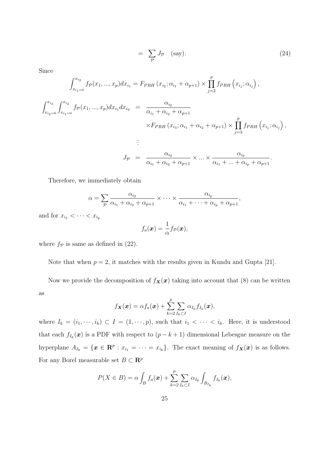$$
= \sum_{\mathcal{P}} J_{\mathcal{P}} \quad \text{(say)}.
$$
 (24)

,

Since

$$
\int_{x_{i_1=0}}^{x_{i_2}} f_{\mathcal{P}}(x_1, ..., x_p) dx_{i_1} = F_{PRH}(x_{i_2}; \alpha_{i_1} + \alpha_{p+1}) \times \prod_{j=2}^p f_{PRH}(x_{i_j}; \alpha_{i_j}),
$$
\n
$$
\int_{x_{i_2=0}}^{x_{i_3}} \int_{x_{i_1=0}}^{x_{i_2}} f_{\mathcal{P}}(x_1, ..., x_p) dx_{i_1} dx_{i_2} = \frac{\alpha_{i_2}}{\alpha_{i_1} + \alpha_{i_2} + \alpha_{p+1}}
$$
\n
$$
\times F_{PRH}(x_{i_3}; \alpha_{i_1} + \alpha_{i_2} + \alpha_{p+1}) \times \prod_{j=3}^p f_{PRH}(x_{i_j}; \alpha_{i_j}),
$$
\n
$$
\vdots
$$
\n
$$
J_{\mathcal{P}} = \frac{\alpha_{i_2}}{\alpha_{i_1} + \alpha_{i_2} + \alpha_{p+1}} \times ... \times \frac{\alpha_{i_p}}{\alpha_{i_1} + ... + \alpha_{i_p} + \alpha_{p+1}}.
$$

Therefore, we immediately obtain

$$
\alpha = \sum_{p} \frac{\alpha_{i_2}}{\alpha_{i_1} + \alpha_{i_2} + \alpha_{p+1}} \times \cdots \times \frac{\alpha_{i_p}}{\alpha_{i_1} + \cdots + \alpha_{i_p} + \alpha_{p+1}}
$$

and for  $x_{i_1} < \cdots < x_{i_p}$ 

$$
f_a(\boldsymbol{x}) = \frac{1}{\alpha} f_{\mathcal{P}}(\boldsymbol{x}),
$$

where  $f_{\mathcal{P}}$  is same as defined in (22).

Note that when  $p = 2$ , it matches with the results given in Kundu and Gupta [21].

Now we provide the decomposition of  $f_{\mathbf{X}}(\mathbf{x})$  taking into account that (8) can be written as

$$
f_{\boldsymbol{X}}(\boldsymbol{x}) = \alpha f_a(\boldsymbol{x}) + \sum_{k=2}^p \sum_{I_k \subset I} \alpha_{I_k} f_{I_k}(\boldsymbol{x}),
$$

where  $I_k = (i_1, \dots, i_k) \subset I = (1, \dots, p)$ , such that  $i_1 < \dots < i_k$ . Here, it is understood that each  $f_{I_k}(\boldsymbol{x})$  is a PDF with respect to  $(p-k+1)$  dimensional Lebesgue measure on the hyperplane  $A_{I_k} = \{ \mathbf{x} \in \mathbb{R}^p : x_{i_1} = \cdots = x_{i_k} \}.$  The exact meaning of  $f_{\mathbf{x}}(\mathbf{x})$  is as follows. For any Borel measurable set  $B \subset \mathbb{R}^p$ 

$$
P(X \in B) = \alpha \int_B f_a(\boldsymbol{x}) + \sum_{k=2}^p \sum_{I_k \subset I} \alpha_{I_k} \int_{B_{I_k}} f_{I_k}(\boldsymbol{x}),
$$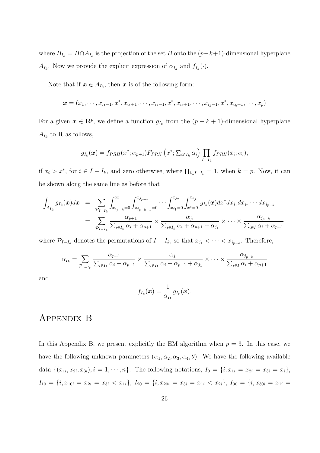where  $B_{I_k} = B \cap A_{I_k}$  is the projection of the set B onto the  $(p-k+1)$ -dimensional hyperplane  $A_{I_k}$ . Now we provide the explicit expression of  $\alpha_{I_k}$  and  $f_{I_k}(\cdot)$ .

Note that if  $x \in A_{I_k}$ , then x is of the following form:

$$
\boldsymbol{x} = (x_1, \cdots, x_{i_1-1}, x^*, x_{i_1+1}, \cdots, x_{i_2-1}, x^*, x_{i_2+1}, \cdots, x_{i_k-1}, x^*, x_{i_k+1}, \cdots, x_p)
$$

For a given  $\mathbf{x} \in \mathbb{R}^p$ , we define a function  $g_{I_k}$  from the  $(p - k + 1)$ -dimensional hyperplane  $A_{I_k}$  to **R** as follows,

$$
g_{I_k}(\boldsymbol{x}) = f_{PRH}(x^*; \alpha_{p+1}) F_{PRH} \left( x^*; \sum_{i \in I_k} \alpha_i \right) \prod_{I-I_k} f_{PRH}(x_i; \alpha_i),
$$

if  $x_i > x^*$ , for  $i \in I - I_k$ , and zero otherwise, where  $\prod_{i \in I - I_k} = 1$ , when  $k = p$ . Now, it can be shown along the same line as before that

$$
\int_{A_{I_k}} g_{I_k}(\boldsymbol{x}) d\boldsymbol{x} = \sum_{\mathcal{P}_{I-I_k}} \int_{x_{j_{p-k}}=0}^{\infty} \int_{x_{j_{p-k-1}}=0}^{x_{j_{p-k}}} \cdots \int_{x_{j_1}=0}^{x_{j_2}} \int_{x^*=0}^{x_{x_{j_1}}} g_{I_k}(\boldsymbol{x}) dx^* dx_{j_1} dx_{j_2} \cdots dx_{j_{p-k}}
$$
\n
$$
= \sum_{\mathcal{P}_{I-I_k}} \frac{\alpha_{p+1}}{\sum_{i \in I_k} \alpha_i + \alpha_{p+1}} \times \frac{\alpha_{j_1}}{\sum_{i \in I_k} \alpha_i + \alpha_{p+1} + \alpha_{j_1}} \times \cdots \times \frac{\alpha_{j_{p-k}}}{\sum_{i \in I} \alpha_i + \alpha_{p+1}},
$$

where  $\mathcal{P}_{I-I_k}$  denotes the permutations of  $I-I_k$ , so that  $x_{j_1} < \cdots < x_{j_{p-k}}$ . Therefore,

$$
\alpha_{I_k} = \sum_{\mathcal{P}_{I-I_k}} \frac{\alpha_{p+1}}{\sum_{i \in I_k} \alpha_i + \alpha_{p+1}} \times \frac{\alpha_{j_1}}{\sum_{i \in I_k} \alpha_i + \alpha_{p+1} + \alpha_{j_1}} \times \cdots \times \frac{\alpha_{j_{p-k}}}{\sum_{i \in I} \alpha_i + \alpha_{p+1}}
$$

and

$$
f_{I_k}(\boldsymbol{x}) = \frac{1}{\alpha_{I_k}} g_{I_k}(\boldsymbol{x}).
$$

## Appendix B

In this Appendix B, we present explicitly the EM algorithm when  $p = 3$ . In this case, we have the following unknown parameters  $(\alpha_1, \alpha_2, \alpha_3, \alpha_4, \theta)$ . We have the following available data  $\{(x_{1i}, x_{2i}, x_{3i}); i = 1, \cdots, n\}$ . The following notations;  $I_0 = \{i; x_{1i} = x_{2i} = x_{3i} = x_i\}$ ,  $I_{10} = \{i; x_{10i} = x_{2i} = x_{3i} < x_{1i}\}, I_{20} = \{i; x_{20i} = x_{3i} = x_{1i} < x_{2i}\}, I_{30} = \{i; x_{30i} = x_{1i} = x_{1i}\}$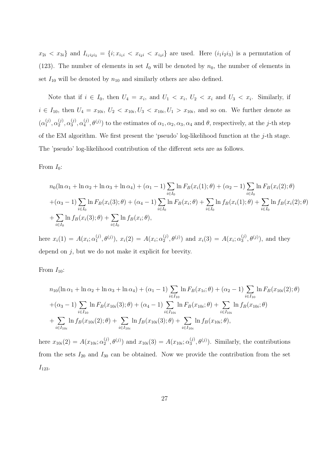$x_{2i} < x_{3i}$  and  $I_{i_1i_2i_3} = \{i; x_{i_1i} < x_{i_2i} < x_{i_3i}\}\$ are used. Here  $(i_1i_2i_3)$  is a permutation of (123). The number of elements in set  $I_0$  will be denoted by  $n_0$ , the number of elements in set  $I_{10}$  will be denoted by  $n_{10}$  and similarly others are also defined.

Note that if  $i \in I_0$ , then  $U_4 = x_i$ , and  $U_1 < x_i$ ,  $U_2 < x_i$  and  $U_3 < x_i$ . Similarly, if  $i \in I_{10}$ , then  $U_4 = x_{10i}$ ,  $U_2 < x_{10i}$ ,  $U_3 < x_{10i}$ ,  $U_1 > x_{10i}$ , and so on. We further denote as  $(\alpha_1^{(j)}$  $\overset{(j)}{1}, \overset{(j)}{\alpha_2^{(j)}}$  $_2^{(j)}, \alpha_3^{(j)}$  $\overset{(j)}{3}, \overset{(j)}{\alpha_4^{(j)}}$  $\mathcal{A}_{4}^{(j)}, \theta^{(j)}$  to the estimates of  $\alpha_1, \alpha_2, \alpha_3, \alpha_4$  and  $\theta$ , respectively, at the *j*-th step of the EM algorithm. We first present the 'pseudo' log-likelihood function at the  $j$ -th stage. The 'pseudo' log-likelihood contribution of the different sets are as follows.

From  $I_0$ :

$$
n_0(\ln \alpha_1 + \ln \alpha_2 + \ln \alpha_3 + \ln \alpha_4) + (\alpha_1 - 1) \sum_{i \in I_0} \ln F_B(x_i(1); \theta) + (\alpha_2 - 1) \sum_{i \in I_0} \ln F_B(x_i(2); \theta)
$$
  
+ $(\alpha_3 - 1) \sum_{i \in I_0} \ln F_B(x_i(3); \theta) + (\alpha_4 - 1) \sum_{i \in I_0} \ln F_B(x_i; \theta) + \sum_{i \in I_0} \ln f_B(x_i(1); \theta) + \sum_{i \in I_0} \ln f_B(x_i(3); \theta) + \sum_{i \in I_0} \ln f_B(x_i; \theta),$ 

here  $x_i(1) = A(x_i; \alpha_1^{(j)})$  $(1, 0, \theta^{(j)}), x_i(2) = A(x_i; \alpha_2^{(j)})$  $\mathcal{L}_2^{(j)}, \theta^{(j)}$  and  $x_i(3) = A(x_i; \alpha_3^{(j)})$  $\mathfrak{g}^{(j)}$ ,  $\theta^{(j)}$ ), and they depend on j, but we do not make it explicit for brevity.

From  $I_{10}$ :

$$
n_{10}(\ln \alpha_1 + \ln \alpha_2 + \ln \alpha_3 + \ln \alpha_4) + (\alpha_1 - 1) \sum_{i \in I_{10}} \ln F_B(x_{1i}; \theta) + (\alpha_2 - 1) \sum_{i \in I_{10}} \ln F_B(x_{10i}(2); \theta)
$$
  
+ $(\alpha_3 - 1) \sum_{i \in I_{10}} \ln F_B(x_{10i}(3); \theta) + (\alpha_4 - 1) \sum_{i \in I_{10i}} \ln F_B(x_{10i}; \theta) + \sum_{i \in I_{10i}} \ln f_B(x_{10i}; \theta)$   
+
$$
\sum_{i \in I_{10i}} \ln f_B(x_{10i}(2); \theta) + \sum_{i \in I_{10i}} \ln f_B(x_{10i}(3); \theta) + \sum_{i \in I_{10i}} \ln f_B(x_{10i}; \theta),
$$

here  $x_{10i}(2) = A(x_{10i}; \alpha_2^{(j)})$  $(2^j, \theta^{(j)})$  and  $x_{10i}(3) = A(x_{10i}; \alpha_3^{(j)})$  $\mathcal{L}_3^{(j)}, \theta^{(j)}$ ). Similarly, the contributions from the sets  $I_{20}$  and  $I_{30}$  can be obtained. Now we provide the contribution from the set  $I_{123}$ .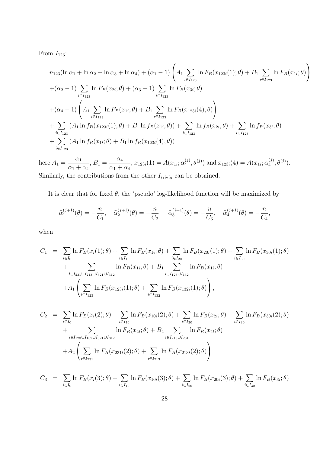From  $I_{123}$ :

$$
n_{123}(\ln \alpha_1 + \ln \alpha_2 + \ln \alpha_3 + \ln \alpha_4) + (\alpha_1 - 1) \left( A_1 \sum_{i \in I_{123}} \ln F_B(x_{123i}(1); \theta) + B_1 \sum_{i \in I_{123}} \ln F_B(x_{1i}; \theta) \right)
$$
  
+ (\alpha\_2 - 1) \sum\_{i \in I\_{123}} \ln F\_B(x\_{2i}; \theta) + (\alpha\_3 - 1) \sum\_{i \in I\_{123}} \ln F\_B(x\_{3i}; \theta)  
+ (\alpha\_4 - 1) \left( A\_1 \sum\_{i \in I\_{123}} \ln F\_B(x\_{1i}; \theta) + B\_1 \sum\_{i \in I\_{123}} \ln F\_B(x\_{123i}(4); \theta) \right)  
+ \sum\_{i \in I\_{123}} (A\_1 \ln f\_B(x\_{123i}(1); \theta) + B\_1 \ln f\_B(x\_{1i}; \theta)) + \sum\_{i \in I\_{123}} \ln f\_B(x\_{2i}; \theta) + \sum\_{i \in I\_{123}} \ln f\_B(x\_{3i}; \theta)  
+ \sum\_{i \in I\_{123}} (A\_1 \ln f\_B(x\_{1i}; \theta) + B\_1 \ln f\_B(x\_{123i}(4), \theta))

here  $A_1 =$  $\alpha_1$  $\alpha_1 + \alpha_4$  $, B_1 =$  $\alpha_4$  $\alpha_1 + \alpha_4$  $, x_{123i}(1) = A(x_{1i}; \alpha_1^{(j)})$  $f_1^{(j)}, \theta^{(j)}$  and  $x_{123i}(4) = A(x_{1i}; \alpha_4^{(j)})$  $\binom{(j)}{4}, \theta^{(j)}$ . Similarly, the contributions from the other  $I_{i_1 i_2 i_3}$  can be obtained.

It is clear that for fixed  $\theta$ , the 'pseudo' log-likelihood function will be maximized by

$$
\widehat{\alpha}_1^{(j+1)}(\theta) = -\frac{n}{C_1}, \quad \widehat{\alpha}_2^{(j+1)}(\theta) = -\frac{n}{C_2}, \quad \widehat{\alpha}_3^{(j+1)}(\theta) = -\frac{n}{C_3}, \quad \widehat{\alpha}_4^{(j+1)}(\theta) = -\frac{n}{C_4},
$$

when

$$
C_{1} = \sum_{i \in I_{0}} \ln F_{B}(x_{i}(1); \theta) + \sum_{i \in I_{10}} \ln F_{B}(x_{1i}; \theta) + \sum_{i \in I_{20}} \ln F_{B}(x_{20i}(1); \theta) + \sum_{i \in I_{30}} \ln F_{B}(x_{30i}(1); \theta)
$$
  
+ 
$$
\sum_{i \in I_{231} \cup I_{213} \cup I_{321} \cup I_{312}} \ln F_{B}(x_{1i}; \theta) + B_{1} \sum_{i \in I_{123} \cup I_{132}} \ln F_{B}(x_{1i}; \theta)
$$
  
+ 
$$
A_{1} \left( \sum_{i \in I_{123}} \ln F_{B}(x_{123i}(1); \theta) + \sum_{i \in I_{132}} \ln F_{B}(x_{132i}(1); \theta) \right),
$$
  

$$
C_{2} = \sum_{i \in I_{0}} \ln F_{B}(x_{i}(2); \theta) + \sum_{i \in I_{10}} \ln F_{B}(x_{10i}(2); \theta) + \sum_{i \in I_{20}} \ln F_{B}(x_{2i}; \theta) + \sum_{i \in I_{30}} \ln F_{B}(x_{30i}(2); \theta)
$$
  
+ 
$$
A_{2} \left( \sum_{i \in I_{231} \cup I_{322} \cup I_{321} \cup I_{312}} \ln F_{B}(x_{2i}; \theta) + \sum_{i \in I_{213} \cup I_{231}} \ln F_{B}(x_{213i}(2); \theta) \right)
$$

$$
C_3 = \sum_{i \in I_0} \ln F_B(x_i(3); \theta) + \sum_{i \in I_{10}} \ln F_B(x_{10i}(3); \theta) + \sum_{i \in I_{20}} \ln F_B(x_{20i}(3); \theta) + \sum_{i \in I_{30}} \ln F_B(x_{3i}; \theta)
$$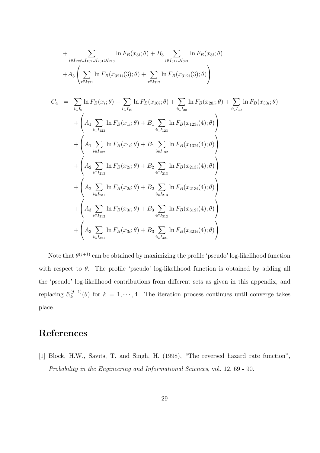+ 
$$
\sum_{i \in I_{123} \cup I_{132} \cup I_{231} \cup I_{213}} \ln F_B(x_{3i};\theta) + B_3 \sum_{i \in I_{312} \cup I_{321}} \ln F_B(x_{3i};\theta)
$$
  
+
$$
A_3 \left( \sum_{i \in I_{321}} \ln F_B(x_{321i}(3);\theta) + \sum_{i \in I_{312}} \ln F_B(x_{312i}(3);\theta) \right)
$$
  

$$
C_4 = \sum_{i \in I_0} \ln F_B(x_i;\theta) + \sum_{i \in I_{10}} \ln F_B(x_{10i};\theta) + \sum_{i \in I_{20}} \ln F_B(x_{20i};\theta) + \sum_{i \in I_{30}} \ln F_B(x_{30i};\theta)
$$
  
+ 
$$
\left( A_1 \sum_{i \in I_{123}} \ln F_B(x_{1i};\theta) + B_1 \sum_{i \in I_{123}} \ln F_B(x_{123i}(4);\theta) \right)
$$
  
+ 
$$
\left( A_1 \sum_{i \in I_{132}} \ln F_B(x_{1i};\theta) + B_1 \sum_{i \in I_{132}} \ln F_B(x_{132i}(4);\theta) \right)
$$
  
+ 
$$
\left( A_2 \sum_{i \in I_{213}} \ln F_B(x_{2i};\theta) + B_2 \sum_{i \in I_{213}} \ln F_B(x_{213i}(4);\theta) \right)
$$
  
+ 
$$
\left( A_2 \sum_{i \in I_{231}} \ln F_B(x_{2i};\theta) + B_2 \sum_{i \in I_{213}} \ln F_B(x_{213i}(4);\theta) \right)
$$
  
+ 
$$
\left( A_3 \sum_{i \in I_{322}} \ln F_B(x_{3i};\theta) + B_3 \sum_{i \in I_{312}} \ln F_B(x_{312i}(4);\theta) \right)
$$
  
+ 
$$
\left( A_3 \sum_{i \in I_{322}} \ln F_B(x_{3i};\theta) + B_3 \sum_{i \in I_{322}} \ln F_B(x_{312i}(4);\theta) \right)
$$

Note that  $\theta^{(j+1)}$  can be obtained by maximizing the profile 'pseudo' log-likelihood function with respect to  $\theta$ . The profile 'pseudo' log-likelihood function is obtained by adding all the 'pseudo' log-likelihood contributions from different sets as given in this appendix, and replacing  $\hat{\alpha}_k^{(j+1)}$  $(k+1)(\theta)$  for  $k = 1, \dots, 4$ . The iteration process continues until converge takes place.

## References

[1] Block, H.W., Savits, T. and Singh, H. (1998), "The reversed hazard rate function", Probability in the Engineering and Informational Sciences, vol. 12, 69 - 90.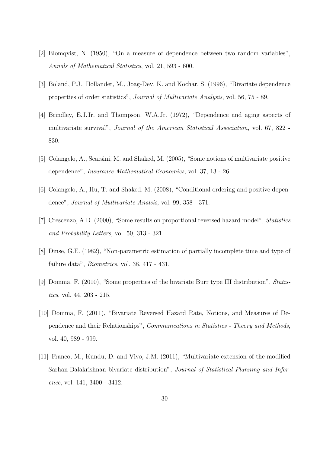- [2] Blomqvist, N. (1950), "On a measure of dependence between two random variables", Annals of Mathematical Statistics, vol. 21, 593 - 600.
- [3] Boland, P.J., Hollander, M., Joag-Dev, K. and Kochar, S. (1996), "Bivariate dependence properties of order statistics", Journal of Multivariate Analysis, vol. 56, 75 - 89.
- [4] Brindley, E.J.Jr. and Thompson, W.A.Jr. (1972), "Dependence and aging aspects of multivariate survival", Journal of the American Statistical Association, vol. 67, 822 - 830.
- [5] Colangelo, A., Scarsini, M. and Shaked, M. (2005), "Some notions of multivariate positive dependence", Insurance Mathematical Economics, vol. 37, 13 - 26.
- [6] Colangelo, A., Hu, T. and Shaked. M. (2008), "Conditional ordering and positive dependence", Journal of Multivariate Analsis, vol. 99, 358 - 371.
- [7] Crescenzo, A.D. (2000), "Some results on proportional reversed hazard model", Statistics and Probability Letters, vol. 50, 313 - 321.
- [8] Dinse, G.E. (1982), "Non-parametric estimation of partially incomplete time and type of failure data", Biometrics, vol. 38, 417 - 431.
- [9] Domma, F. (2010), "Some properties of the bivariate Burr type III distribution", Statistics, vol. 44, 203 - 215.
- [10] Domma, F. (2011), "Bivariate Reversed Hazard Rate, Notions, and Measures of Dependence and their Relationships", Communications in Statistics - Theory and Methods, vol. 40, 989 - 999.
- [11] Franco, M., Kundu, D. and Vivo, J.M. (2011), "Multivariate extension of the modified Sarhan-Balakrishnan bivariate distribution", Journal of Statistical Planning and Inference, vol. 141, 3400 - 3412.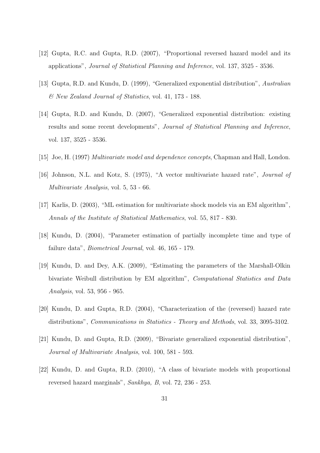- [12] Gupta, R.C. and Gupta, R.D. (2007), "Proportional reversed hazard model and its applications", Journal of Statistical Planning and Inference, vol. 137, 3525 - 3536.
- [13] Gupta, R.D. and Kundu, D. (1999), "Generalized exponential distribution", Australian & New Zealand Journal of Statistics, vol. 41, 173 - 188.
- [14] Gupta, R.D. and Kundu, D. (2007), "Generalized exponential distribution: existing results and some recent developments", Journal of Statistical Planning and Inference, vol. 137, 3525 - 3536.
- [15] Joe, H. (1997) Multivariate model and dependence concepts, Chapman and Hall, London.
- [16] Johnson, N.L. and Kotz, S. (1975), "A vector multivariate hazard rate", *Journal of* Multivariate Analysis, vol. 5, 53 - 66.
- [17] Karlis, D. (2003), "ML estimation for multivariate shock models via an EM algorithm", Annals of the Institute of Statistical Mathematics, vol. 55, 817 - 830.
- [18] Kundu, D. (2004), "Parameter estimation of partially incomplete time and type of failure data", Biometrical Journal, vol. 46, 165 - 179.
- [19] Kundu, D. and Dey, A.K. (2009), "Estimating the parameters of the Marshall-Olkin bivariate Weibull distribution by EM algorithm", Computational Statistics and Data Analysis, vol. 53, 956 - 965.
- [20] Kundu, D. and Gupta, R.D. (2004), "Characterization of the (reversed) hazard rate distributions", *Communications in Statistics - Theory and Methods*, vol. 33, 3095-3102.
- [21] Kundu, D. and Gupta, R.D. (2009), "Bivariate generalized exponential distribution", Journal of Multivariate Analysis, vol. 100, 581 - 593.
- [22] Kundu, D. and Gupta, R.D. (2010), "A class of bivariate models with proportional reversed hazard marginals", Sankhya, B, vol. 72, 236 - 253.